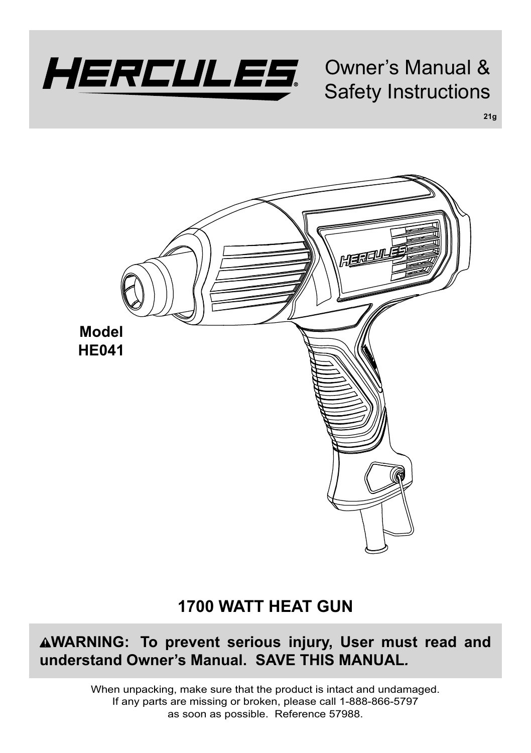

Owner's Manual & Safety Instructions

**21g**



# **1700 WATT HEAT GUN**

**WARNING: To prevent serious injury, User must read and understand Owner's Manual. SAVE THIS MANUAL***.*

> When unpacking, make sure that the product is intact and undamaged. If any parts are missing or broken, please call 1-888-866-5797 as soon as possible. Reference 57988.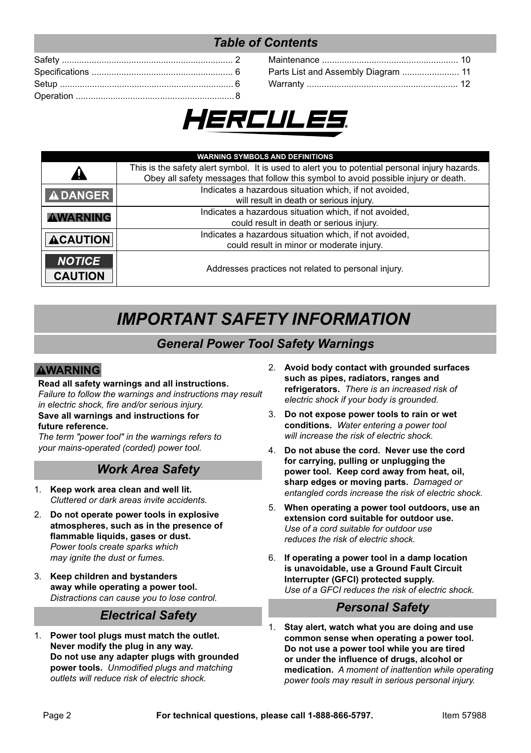# *Table of Contents*

| Parts List and Assembly Diagram  11 |  |
|-------------------------------------|--|
|                                     |  |



|                 | <b>WARNING SYMBOLS AND DEFINITIONS</b>                                                         |  |
|-----------------|------------------------------------------------------------------------------------------------|--|
|                 | This is the safety alert symbol. It is used to alert you to potential personal injury hazards. |  |
|                 | Obey all safety messages that follow this symbol to avoid possible injury or death.            |  |
| <b>ADANGER</b>  | Indicates a hazardous situation which, if not avoided,                                         |  |
|                 | will result in death or serious injury.                                                        |  |
| WARNING         | Indicates a hazardous situation which, if not avoided,                                         |  |
|                 | could result in death or serious injury.                                                       |  |
| <b>ACAUTION</b> | Indicates a hazardous situation which, if not avoided,                                         |  |
|                 | could result in minor or moderate injury.                                                      |  |
| <b>NOTICE</b>   |                                                                                                |  |
| <b>CAUTION</b>  | Addresses practices not related to personal injury.                                            |  |

# *IMPORTANT SAFETY INFORMATION*

#### *General Power Tool Safety Warnings*

#### **AWARNING**

#### **Read all safety warnings and all instructions.**  *Failure to follow the warnings and instructions may result*

*in electric shock, fire and/or serious injury.* 

#### **Save all warnings and instructions for future reference.**

*The term "power tool" in the warnings refers to vour mains-operated (corded)* power tool

#### *Work Area Safety*

- 1. **Keep work area clean and well lit.**  *Cluttered or dark areas invite accidents.*
- 2. **Do not operate power tools in explosive atmospheres, such as in the presence of flammable liquids, gases or dust.** *Power tools create sparks which may ignite the dust or fumes.*
- 3. **Keep children and bystanders away while operating a power tool.** *Distractions can cause you to lose control.*

# *Electrical Safety*

1. **Power tool plugs must match the outlet. Never modify the plug in any way. Do not use any adapter plugs with grounded power tools.** Unmodified pluas and matching *outlets will reduce risk of electric shock.*

- 2. **Avoid body contact with grounded surfaces such as pipes, radiators, ranges and refrigerators.** *There is an increased risk of electric shock if your body is grounded.*
- 3. **Do not expose power tools to rain or wet**  conditions. Water entering a power tool *will increase the risk of electric shock.*
- 4. **Do not abuse the cord. Never use the cord for carrying, pulling or unplugging the power tool. Keep cord away from heat, oil, sharp edges or moving parts.** *Damaged or entangled cords increase the risk of electric shock.*
- 5. **When operating a power tool outdoors, use an extension cord suitable for outdoor use.** *Use of a cord suitable for outdoor use reduces the risk of electric shock.*
- 6. **If operating a power tool in a damp location is unavoidable, use a Ground Fault Circuit Interrupter (GFCI) protected supply.** *Use of a GFCI reduces the risk of electric shock.*

# *Personal Safety*

1. **Stay alert, watch what you are doing and use common sense when operating a power tool. Do not use a power tool while you are tired or under the influence of drugs, alcohol or medication.** A moment of inattention while operating *DOWER TOOLS MAY result in serious personal injury.*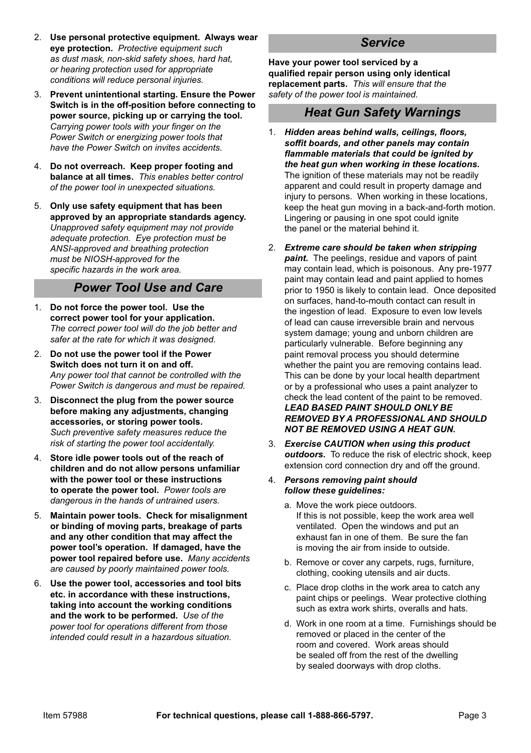- 2. **Use personal protective equipment. Always wear eye protection.** Protective equipment such *as dust mask, non-skid safety shoes, hard hat,*  or hearing protection used for appropriate *conditions will reduce personal injuries.*
- 3. **Prevent unintentional starting. Ensure the Power Switch is in the off-position before connecting to power source, picking up or carrying the tool.** Carrying power tools with your finger on the *Power Switch or energizing power tools that have the Power Switch on invites accidents.*
- 4. **Do not overreach. Keep proper footing and balance at all times.** *This enables better control*  of the power tool in unexpected situations.
- 5. **Only use safety equipment that has been approved by an appropriate standards agency.** *Unapproved safety equipment may not provide*  $B$ *adequate protection. Eve protection must be* **ANSI-approved and breathing protection** *must be NIOSH-approved for the* specific hazards in the work area.

#### *Power Tool Use and Care*

- 1. **Do not force the power tool. Use the correct power tool for your application.** The correct power tool will do the job better and *safer at the rate for which it was designed.*
- 2. **Do not use the power tool if the Power Switch does not turn it on and off.** Any power tool that cannot be controlled with the *Power Switch is dangerous and must be repaired.*
- 3. **Disconnect the plug from the power source before making any adjustments, changing accessories, or storing power tools.** *Such preventive safety measures reduce the* risk of starting the power tool accidentally.
- 4. **Store idle power tools out of the reach of children and do not allow persons unfamiliar with the power tool or these instructions to operate the power tool.** *Power tools are dangerous in the hands of untrained users.*
- 5. **Maintain power tools. Check for misalignment or binding of moving parts, breakage of parts and any other condition that may affect the power tool's operation. If damaged, have the power tool repaired before use.** *Many accidents*  are caused by poorly maintained power tools.
- 6. **Use the power tool, accessories and tool bits etc. in accordance with these instructions, taking into account the working conditions and the work to be performed.** *Use of the DOWER tool for operations different from those intended could result in a hazardous situation.*

#### *Service*

**Have your power tool serviced by a qualified repair person using only identical replacement parts.** *This will ensure that the*  safety of the power tool is maintained.

#### *Heat Gun Safety Warnings*

- 1. *Hidden areas behind walls, ceilings, floors, soffit boards, and other panels may contain flammable materials that could be ignited by the heat gun when working in these locations.*  The ignition of these materials may not be readily apparent and could result in property damage and injury to persons. When working in these locations, keep the heat gun moving in a back-and-forth motion. Lingering or pausing in one spot could ignite the panel or the material behind it.
- 2. *Extreme care should be taken when stripping paint.* The peelings, residue and vapors of paint may contain lead, which is poisonous. Any pre-1977 paint may contain lead and paint applied to homes prior to 1950 is likely to contain lead. Once deposited on surfaces, hand-to-mouth contact can result in the ingestion of lead. Exposure to even low levels of lead can cause irreversible brain and nervous system damage; young and unborn children are particularly vulnerable. Before beginning any paint removal process you should determine whether the paint you are removing contains lead. This can be done by your local health department or by a professional who uses a paint analyzer to check the lead content of the paint to be removed. *LEAD BASED PAINT SHOULD ONLY BE REMOVED BY A PROFESSIONAL AND SHOULD NOT BE REMOVED USING A HEAT GUN.*
- 3. *Exercise CAUTION when using this product outdoors.* To reduce the risk of electric shock, keep extension cord connection dry and off the ground.
- 4. *Persons removing paint should follow these guidelines:*
	- a. Move the work piece outdoors. If this is not possible, keep the work area well ventilated. Open the windows and put an exhaust fan in one of them. Be sure the fan is moving the air from inside to outside.
	- b. Remove or cover any carpets, rugs, furniture, clothing, cooking utensils and air ducts.
	- c. Place drop cloths in the work area to catch any paint chips or peelings. Wear protective clothing such as extra work shirts, overalls and hats.
	- d. Work in one room at a time. Furnishings should be removed or placed in the center of the room and covered. Work areas should be sealed off from the rest of the dwelling by sealed doorways with drop cloths.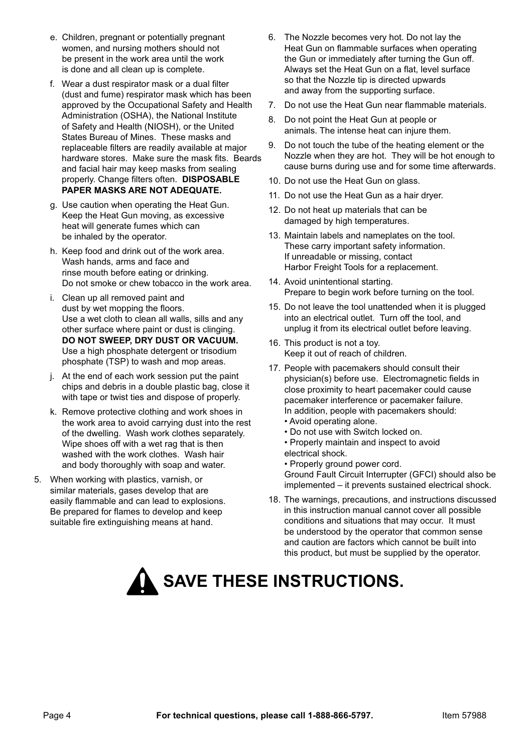- e. Children, pregnant or potentially pregnant women, and nursing mothers should not be present in the work area until the work is done and all clean up is complete.
- f. Wear a dust respirator mask or a dual filter (dust and fume) respirator mask which has been approved by the Occupational Safety and Health Administration (OSHA), the National Institute of Safety and Health (NIOSH), or the United States Bureau of Mines. These masks and replaceable filters are readily available at major hardware stores. Make sure the mask fits. Beards and facial hair may keep masks from sealing properly. Change filters often. **DISPOSABLE PAPER MASKS ARE NOT ADEQUATE.**
- g. Use caution when operating the Heat Gun. Keep the Heat Gun moving, as excessive heat will generate fumes which can be inhaled by the operator.
- h. Keep food and drink out of the work area. Wash hands, arms and face and rinse mouth before eating or drinking. Do not smoke or chew tobacco in the work area.
- i. Clean up all removed paint and dust by wet mopping the floors. Use a wet cloth to clean all walls, sills and any other surface where paint or dust is clinging. **DO NOT SWEEP, DRY DUST OR VACUUM.**  Use a high phosphate detergent or trisodium phosphate (TSP) to wash and mop areas.
- j. At the end of each work session put the paint chips and debris in a double plastic bag, close it with tape or twist ties and dispose of properly.
- k. Remove protective clothing and work shoes in the work area to avoid carrying dust into the rest of the dwelling. Wash work clothes separately. Wipe shoes off with a wet rag that is then washed with the work clothes. Wash hair and body thoroughly with soap and water.
- 5. When working with plastics, varnish, or similar materials, gases develop that are easily flammable and can lead to explosions. Be prepared for flames to develop and keep suitable fire extinguishing means at hand.
- 6. The Nozzle becomes very hot. Do not lay the Heat Gun on flammable surfaces when operating the Gun or immediately after turning the Gun off. Always set the Heat Gun on a flat, level surface so that the Nozzle tip is directed upwards and away from the supporting surface.
- 7. Do not use the Heat Gun near flammable materials.
- 8. Do not point the Heat Gun at people or animals. The intense heat can injure them.
- 9. Do not touch the tube of the heating element or the Nozzle when they are hot. They will be hot enough to cause burns during use and for some time afterwards.
- 10. Do not use the Heat Gun on glass.
- 11. Do not use the Heat Gun as a hair dryer.
- 12. Do not heat up materials that can be damaged by high temperatures.
- 13. Maintain labels and nameplates on the tool. These carry important safety information. If unreadable or missing, contact Harbor Freight Tools for a replacement.
- 14. Avoid unintentional starting. Prepare to begin work before turning on the tool.
- 15. Do not leave the tool unattended when it is plugged into an electrical outlet. Turn off the tool, and unplug it from its electrical outlet before leaving.
- 16. This product is not a toy. Keep it out of reach of children.
- 17. People with pacemakers should consult their physician(s) before use. Electromagnetic fields in close proximity to heart pacemaker could cause pacemaker interference or pacemaker failure. In addition, people with pacemakers should:
	- Avoid operating alone.
	- Do not use with Switch locked on.
	- Properly maintain and inspect to avoid
	- electrical shock.

• Properly ground power cord. Ground Fault Circuit Interrupter (GFCI) should also be implemented – it prevents sustained electrical shock.

18. The warnings, precautions, and instructions discussed in this instruction manual cannot cover all possible conditions and situations that may occur. It must be understood by the operator that common sense and caution are factors which cannot be built into this product, but must be supplied by the operator.

# **SAVE THESE INSTRUCTIONS.**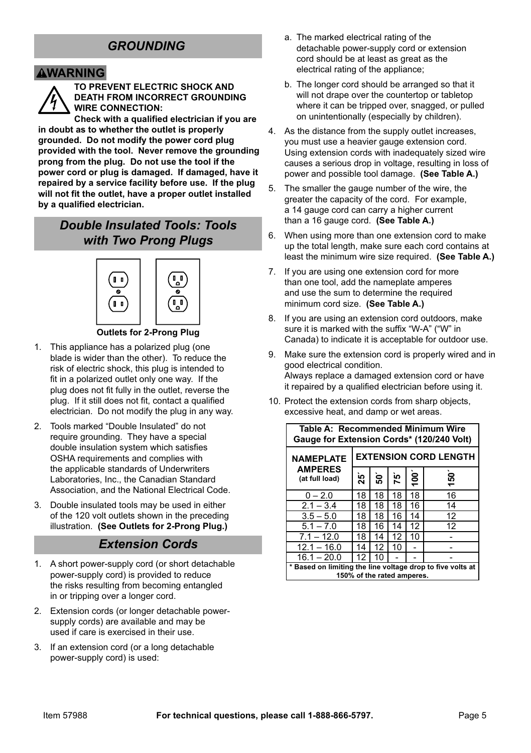# *GROUNDING*

#### **AWARNING**



**TO PREVENT ELECTRIC SHOCK AND DEATH FROM INCORRECT GROUNDING WIRE CONNECTION:**

**Check with a qualified electrician if you are in doubt as to whether the outlet is properly grounded. Do not modify the power cord plug provided with the tool. Never remove the grounding prong from the plug. Do not use the tool if the power cord or plug is damaged. If damaged, have it repaired by a service facility before use. If the plug will not fit the outlet, have a proper outlet installed by a qualified electrician.**

### *Double Insulated Tools: Tools with Two Prong Plugs*



#### **Outlets for 2-Prong Plug**

- 1. This appliance has a polarized plug (one blade is wider than the other). To reduce the risk of electric shock, this plug is intended to fit in a polarized outlet only one way. If the plug does not fit fully in the outlet, reverse the plug. If it still does not fit, contact a qualified electrician. Do not modify the plug in any way.
- 2. Tools marked "Double Insulated" do not require grounding. They have a special double insulation system which satisfies OSHA requirements and complies with the applicable standards of Underwriters Laboratories, Inc., the Canadian Standard Association, and the National Electrical Code.
- 3. Double insulated tools may be used in either of the 120 volt outlets shown in the preceding illustration. **(See Outlets for 2-Prong Plug.)**

#### *Extension Cords*

- 1. A short power-supply cord (or short detachable power-supply cord) is provided to reduce the risks resulting from becoming entangled in or tripping over a longer cord.
- 2. Extension cords (or longer detachable powersupply cords) are available and may be used if care is exercised in their use.
- 3. If an extension cord (or a long detachable power-supply cord) is used:
- a. The marked electrical rating of the detachable power-supply cord or extension cord should be at least as great as the electrical rating of the appliance;
- b. The longer cord should be arranged so that it will not drape over the countertop or tabletop where it can be tripped over, snagged, or pulled on unintentionally (especially by children).
- 4. As the distance from the supply outlet increases, you must use a heavier gauge extension cord. Using extension cords with inadequately sized wire causes a serious drop in voltage, resulting in loss of power and possible tool damage. **(See Table A.)**
- 5. The smaller the gauge number of the wire, the greater the capacity of the cord. For example, a 14 gauge cord can carry a higher current than a 16 gauge cord. **(See Table A.)**
- 6. When using more than one extension cord to make up the total length, make sure each cord contains at least the minimum wire size required. **(See Table A.)**
- 7. If you are using one extension cord for more than one tool, add the nameplate amperes and use the sum to determine the required minimum cord size. **(See Table A.)**
- 8. If you are using an extension cord outdoors, make sure it is marked with the suffix "W-A" ("W" in Canada) to indicate it is acceptable for outdoor use.
- 9. Make sure the extension cord is properly wired and in good electrical condition. Always replace a damaged extension cord or have it repaired by a qualified electrician before using it.
- 10. Protect the extension cords from sharp objects, excessive heat, and damp or wet areas.

| Table A: Recommended Minimum Wire<br>Gauge for Extension Cords* (120/240 Volt)         |                              |    |    |                 |    |
|----------------------------------------------------------------------------------------|------------------------------|----|----|-----------------|----|
| <b>NAMEPLATE</b>                                                                       | <b>EXTENSION CORD LENGTH</b> |    |    |                 |    |
| <b>AMPERES</b><br>(at full load)                                                       | ని                           | នៃ | j۶ | $\frac{5}{100}$ | 50 |
| $0 - 2.0$                                                                              | 18                           | 18 | 18 | 18              | 16 |
| $2.1 - 3.4$                                                                            | 18                           | 18 | 18 | 16              | 14 |
| $3.5 - 5.0$                                                                            | 18                           | 18 | 16 | 14              | 12 |
| $5.1 - 7.0$                                                                            | 18                           | 16 | 14 | 12              | 12 |
| $7.1 - 12.0$                                                                           | 18                           | 14 | 12 | 10              |    |
| $12.1 - 16.0$                                                                          | 14                           | 12 | 10 |                 |    |
| $16.1 - 20.0$                                                                          | 12                           | 10 |    |                 |    |
| Based on limiting the line voltage drop to five volts at<br>150% of the rated amperes. |                              |    |    |                 |    |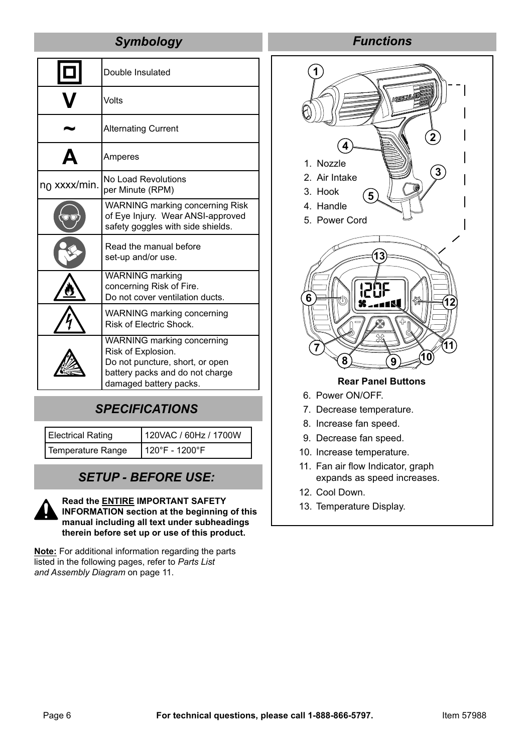#### *Symbology*

|                          | Double Insulated                                                                                                                                 |
|--------------------------|--------------------------------------------------------------------------------------------------------------------------------------------------|
|                          | Volts                                                                                                                                            |
|                          | <b>Alternating Current</b>                                                                                                                       |
|                          | Amperes                                                                                                                                          |
| n <sub>0</sub> xxxx/min. | No Load Revolutions<br>per Minute (RPM)                                                                                                          |
|                          | <b>WARNING marking concerning Risk</b><br>of Eye Injury. Wear ANSI-approved<br>safety goggles with side shields.                                 |
|                          | Read the manual before<br>set-up and/or use.                                                                                                     |
|                          | <b>WARNING</b> marking<br>concerning Risk of Fire.<br>Do not cover ventilation ducts.                                                            |
|                          | WARNING marking concerning<br>Risk of Electric Shock.                                                                                            |
|                          | WARNING marking concerning<br>Risk of Explosion.<br>Do not puncture, short, or open<br>battery packs and do not charge<br>damaged battery packs. |

# *SPECIFICATIONS*

Electrical Rating 120VAC / 60Hz / 1700W Temperature Range 120°F - 1200°F

*SETUP - BEFORE USE:*

**Read the ENTIRE IMPORTANT SAFETY INFORMATION section at the beginning of this manual including all text under subheadings therein before set up or use of this product.**

**Note:** For additional information regarding the parts listed in the following pages, refer to *Parts List and Assembly Diagram* on page 11.

### *Functions*



13. Temperature Display.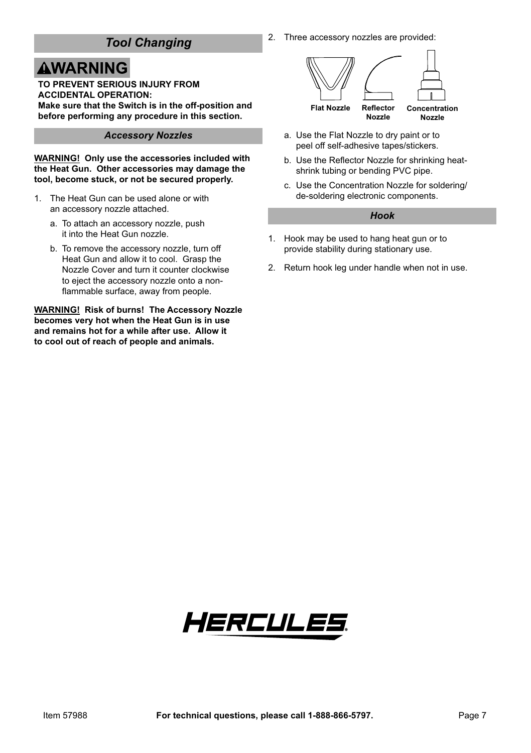# *Tool Changing*

# **AWARNING**

**TO PREVENT SERIOUS INJURY FROM ACCIDENTAL OPERATION: Make sure that the Switch is in the off-position and before performing any procedure in this section.**

#### *Accessory Nozzles*

**WARNING! Only use the accessories included with the Heat Gun. Other accessories may damage the tool, become stuck, or not be secured properly.**

- 1. The Heat Gun can be used alone or with an accessory nozzle attached.
	- a. To attach an accessory nozzle, push it into the Heat Gun nozzle.
	- b. To remove the accessory nozzle, turn off Heat Gun and allow it to cool. Grasp the Nozzle Cover and turn it counter clockwise to eject the accessory nozzle onto a nonflammable surface, away from people.

**WARNING! Risk of burns! The Accessory Nozzle becomes very hot when the Heat Gun is in use and remains hot for a while after use. Allow it to cool out of reach of people and animals.**

2. Three accessory nozzles are provided:



- a. Use the Flat Nozzle to dry paint or to peel off self-adhesive tapes/stickers.
- b. Use the Reflector Nozzle for shrinking heatshrink tubing or bending PVC pipe.
- c. Use the Concentration Nozzle for soldering/ de-soldering electronic components.

#### *Hook*

- 1. Hook may be used to hang heat gun or to provide stability during stationary use.
- 2. Return hook leg under handle when not in use.

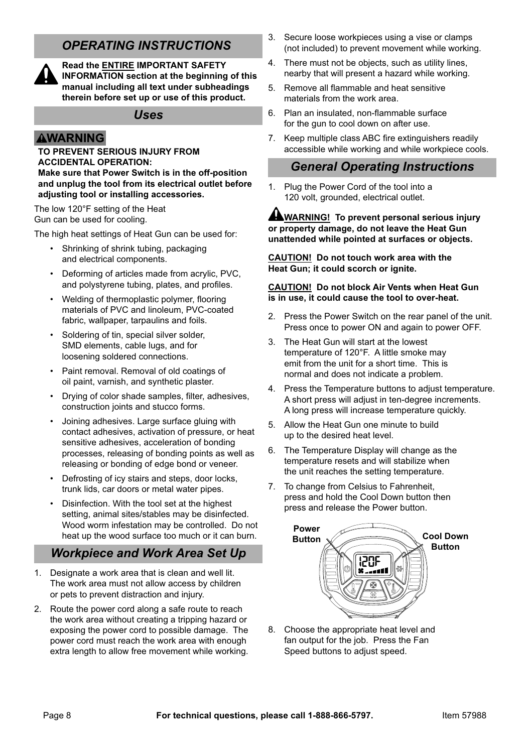# *OPERATING INSTRUCTIONS*



**Read the ENTIRE IMPORTANT SAFETY INFORMATION section at the beginning of this manual including all text under subheadings therein before set up or use of this product.**

#### *Uses*

#### **AWARNING**

#### **TO PREVENT SERIOUS INJURY FROM ACCIDENTAL OPERATION:**

**Make sure that Power Switch is in the off-position and unplug the tool from its electrical outlet before adjusting tool or installing accessories.**

The low 120°F setting of the Heat Gun can be used for cooling.

The high heat settings of Heat Gun can be used for:

- Shrinking of shrink tubing, packaging and electrical components.
- Deforming of articles made from acrylic, PVC, and polystyrene tubing, plates, and profiles.
- Welding of thermoplastic polymer, flooring materials of PVC and linoleum, PVC-coated fabric, wallpaper, tarpaulins and foils.
- Soldering of tin, special silver solder, SMD elements, cable lugs, and for loosening soldered connections.
- Paint removal. Removal of old coatings of oil paint, varnish, and synthetic plaster.
- Drying of color shade samples, filter, adhesives, construction joints and stucco forms.
- Joining adhesives. Large surface gluing with contact adhesives, activation of pressure, or heat sensitive adhesives, acceleration of bonding processes, releasing of bonding points as well as releasing or bonding of edge bond or veneer.
- Defrosting of icy stairs and steps, door locks, trunk lids, car doors or metal water pipes.
- Disinfection. With the tool set at the highest setting, animal sites/stables may be disinfected. Wood worm infestation may be controlled. Do not heat up the wood surface too much or it can burn.

### *Workpiece and Work Area Set Up*

- 1. Designate a work area that is clean and well lit. The work area must not allow access by children or pets to prevent distraction and injury.
- 2. Route the power cord along a safe route to reach the work area without creating a tripping hazard or exposing the power cord to possible damage. The power cord must reach the work area with enough extra length to allow free movement while working.
- 3. Secure loose workpieces using a vise or clamps (not included) to prevent movement while working.
- 4. There must not be objects, such as utility lines, nearby that will present a hazard while working.
- 5. Remove all flammable and heat sensitive materials from the work area.
- 6. Plan an insulated, non-flammable surface for the gun to cool down on after use.
- 7. Keep multiple class ABC fire extinguishers readily accessible while working and while workpiece cools.

#### *General Operating Instructions*

1. Plug the Power Cord of the tool into a 120 volt, grounded, electrical outlet.

#### **WARNING! To prevent personal serious injury or property damage, do not leave the Heat Gun unattended while pointed at surfaces or objects.**

**CAUTION! Do not touch work area with the Heat Gun; it could scorch or ignite.**

#### **CAUTION! Do not block Air Vents when Heat Gun is in use, it could cause the tool to over-heat.**

- 2. Press the Power Switch on the rear panel of the unit. Press once to power ON and again to power OFF.
- 3. The Heat Gun will start at the lowest temperature of 120°F. A little smoke may emit from the unit for a short time. This is normal and does not indicate a problem.
- 4. Press the Temperature buttons to adjust temperature. A short press will adjust in ten-degree increments. A long press will increase temperature quickly.
- 5. Allow the Heat Gun one minute to build up to the desired heat level.
- 6. The Temperature Display will change as the temperature resets and will stabilize when the unit reaches the setting temperature.
- 7. To change from Celsius to Fahrenheit, press and hold the Cool Down button then press and release the Power button.



8. Choose the appropriate heat level and fan output for the job. Press the Fan Speed buttons to adjust speed.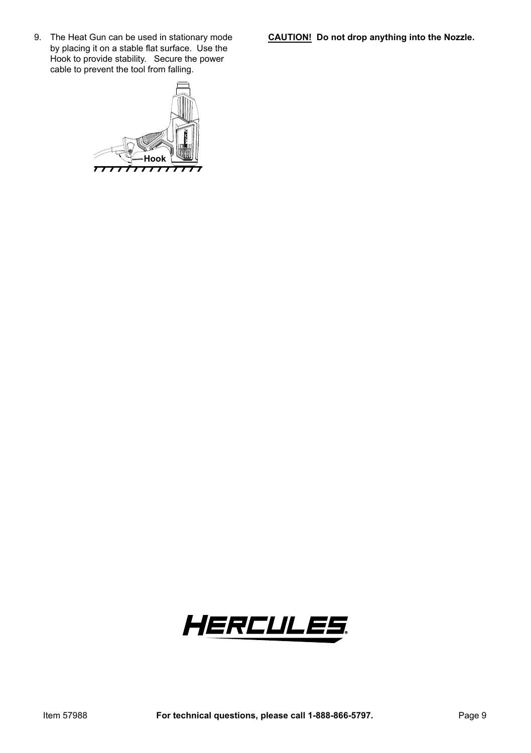**CAUTION! Do not drop anything into the Nozzle.**

9. The Heat Gun can be used in stationary mode by placing it on a stable flat surface. Use the Hook to provide stability. Secure the power cable to prevent the tool from falling.



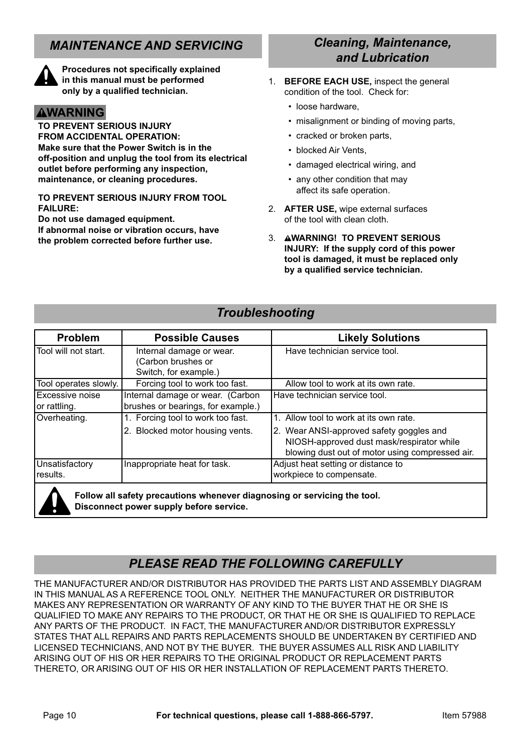# *MAINTENANCE AND SERVICING*



**Procedures not specifically explained in this manual must be performed only by a qualified technician.**

#### **AWARNING**

**TO PREVENT SERIOUS INJURY FROM ACCIDENTAL OPERATION: Make sure that the Power Switch is in the off-position and unplug the tool from its electrical outlet before performing any inspection, maintenance, or cleaning procedures.**

**TO PREVENT SERIOUS INJURY FROM TOOL FAILURE:**

**Do not use damaged equipment.** 

**If abnormal noise or vibration occurs, have the problem corrected before further use.**

#### *Cleaning, Maintenance, and Lubrication*

- 1. **BEFORE EACH USE,** inspect the general condition of the tool. Check for:
	- loose hardware,
	- misalignment or binding of moving parts,
	- cracked or broken parts
	- blocked Air Vents,
	- damaged electrical wiring, and
	- any other condition that may affect its safe operation.
- 2. **AFTER USE,** wipe external surfaces of the tool with clean cloth.
- 3. **WARNING! TO PREVENT SERIOUS INJURY: If the supply cord of this power tool is damaged, it must be replaced only by a qualified service technician.**

#### *Troubleshooting*

| Problem                         | <b>Possible Causes</b>                                                   | <b>Likely Solutions</b>                                                                                                                  |
|---------------------------------|--------------------------------------------------------------------------|------------------------------------------------------------------------------------------------------------------------------------------|
| Tool will not start.            | Internal damage or wear.<br>(Carbon brushes or<br>Switch, for example.)  | Have technician service tool.                                                                                                            |
| Tool operates slowly.           | Forcing tool to work too fast.                                           | Allow tool to work at its own rate.                                                                                                      |
| Excessive noise<br>or rattling. | Internal damage or wear. (Carbon<br>brushes or bearings, for example.)   | Have technician service tool.                                                                                                            |
| Overheating.                    | 1. Forcing tool to work too fast.                                        | 1. Allow tool to work at its own rate.                                                                                                   |
|                                 | 2. Blocked motor housing vents.                                          | 2. Wear ANSI-approved safety goggles and<br>NIOSH-approved dust mask/respirator while<br>blowing dust out of motor using compressed air. |
| Unsatisfactory<br>results.      | Inappropriate heat for task.                                             | Adjust heat setting or distance to<br>workpiece to compensate.                                                                           |
|                                 | Follow all safety precautions whenever diagnosing or servicing the tool. |                                                                                                                                          |

**Disconnect power supply before service.**

# *PLEASE READ THE FOLLOWING CAREFULLY*

THE MANUFACTURER AND/OR DISTRIBUTOR HAS PROVIDED THE PARTS LIST AND ASSEMBLY DIAGRAM IN THIS MANUAL AS A REFERENCE TOOL ONLY. NEITHER THE MANUFACTURER OR DISTRIBUTOR MAKES ANY REPRESENTATION OR WARRANTY OF ANY KIND TO THE BUYER THAT HE OR SHE IS QUALIFIED TO MAKE ANY REPAIRS TO THE PRODUCT, OR THAT HE OR SHE IS QUALIFIED TO REPLACE ANY PARTS OF THE PRODUCT. IN FACT, THE MANUFACTURER AND/OR DISTRIBUTOR EXPRESSLY STATES THAT ALL REPAIRS AND PARTS REPLACEMENTS SHOULD BE UNDERTAKEN BY CERTIFIED AND LICENSED TECHNICIANS, AND NOT BY THE BUYER. THE BUYER ASSUMES ALL RISK AND LIABILITY ARISING OUT OF HIS OR HER REPAIRS TO THE ORIGINAL PRODUCT OR REPLACEMENT PARTS THERETO, OR ARISING OUT OF HIS OR HER INSTALLATION OF REPLACEMENT PARTS THERETO.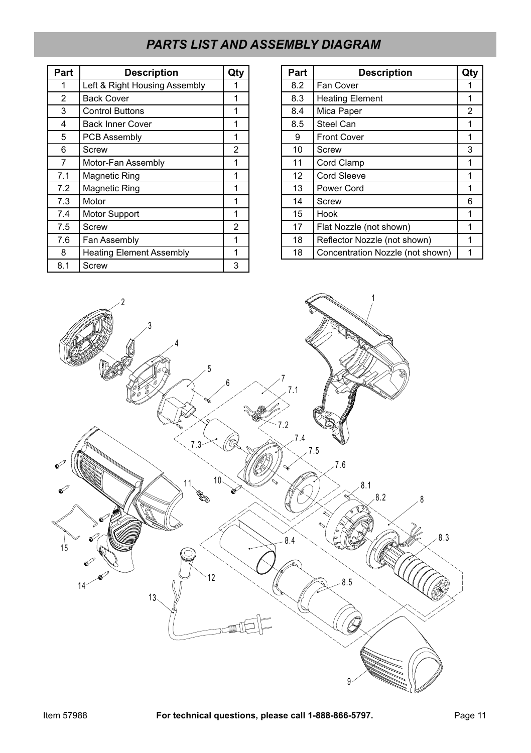# *PARTS LIST AND ASSEMBLY DIAGRAM*

| Part           | <b>Description</b>              | Qty            |
|----------------|---------------------------------|----------------|
|                | Left & Right Housing Assembly   |                |
| $\overline{2}$ | <b>Back Cover</b>               | 1              |
| 3              | <b>Control Buttons</b>          | 1              |
| 4              | <b>Back Inner Cover</b>         |                |
| 5              | <b>PCB Assembly</b>             | 1              |
| 6              | Screw                           | $\overline{2}$ |
| $\overline{7}$ | Motor-Fan Assembly              |                |
| 7.1            | <b>Magnetic Ring</b>            |                |
| 7.2            | <b>Magnetic Ring</b>            | 1              |
| 7.3            | Motor                           |                |
| 7.4            | Motor Support                   | 1              |
| 7.5            | Screw                           | $\overline{2}$ |
| 7.6            | Fan Assembly                    |                |
| 8              | <b>Heating Element Assembly</b> | 1              |
| 8.1            | Screw                           | 3              |

| Part | <b>Description</b>               | Qty            |
|------|----------------------------------|----------------|
| 8.2  | Fan Cover                        | 1              |
| 8.3  | <b>Heating Element</b>           | 1              |
| 8.4  | Mica Paper                       | $\overline{2}$ |
| 8.5  | Steel Can                        | 1              |
| 9    | <b>Front Cover</b>               | 1              |
| 10   | Screw                            | 3              |
| 11   | Cord Clamp                       |                |
| 12   | <b>Cord Sleeve</b>               | 1              |
| 13   | Power Cord                       | 1              |
| 14   | Screw                            | 6              |
| 15   | Hook                             |                |
| 17   | Flat Nozzle (not shown)          | 1              |
| 18   | Reflector Nozzle (not shown)     |                |
| 18   | Concentration Nozzle (not shown) |                |